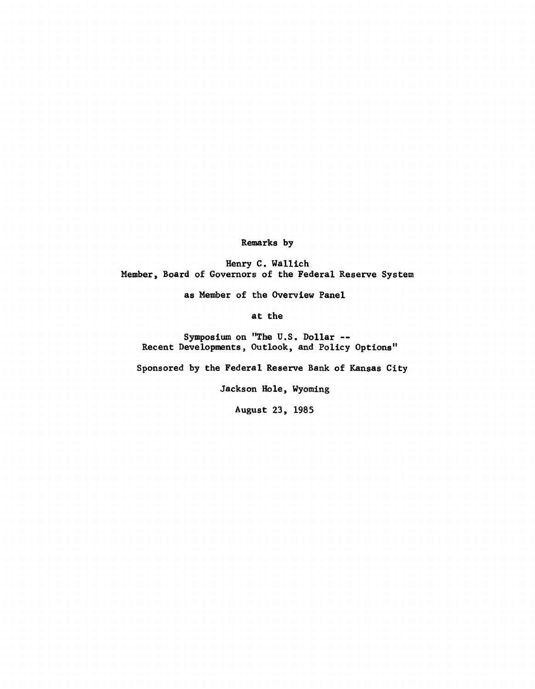**Remarks by**

**Henry C. Wallich Member, Board of Governors of the Federal Reserve System**

**as Member of the Overview Panel**

**at the**

**Symposium on "The U.S. Dollar — Recent Developments, Outlook, and Policy Options"**

**Sponsored by the Federal Reserve Bank of Kansas City**

**Jackson Hole, Wyoming**

**August 23, 1985**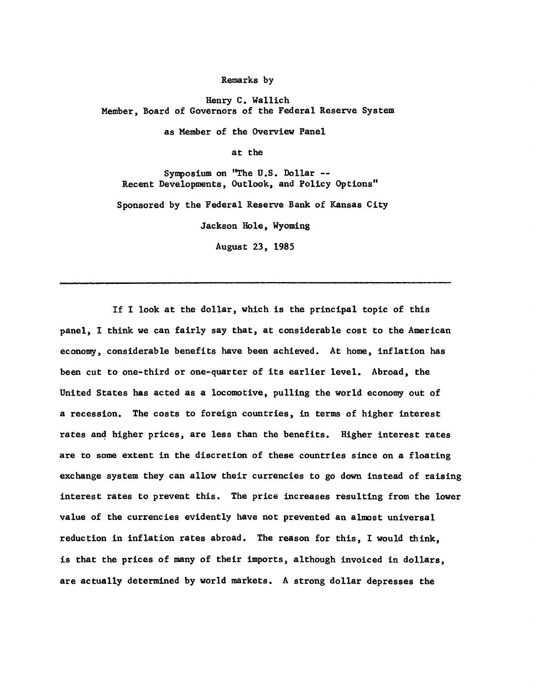**Remarks by**

**Henry C. Wallich Member, Board of Governors of the Federal Reserve System**

**as Member of the Overview Panel**

**at the**

**Symposium on "The U.S. Dollar — Recent Developments, Outlook, and Policy Options"**

**Sponsored by the Federal Reserve Bank of Kansas City**

**Jackson Hole, Wyoming**

**August 23, 1985**

**If I look at the dollar, which is the principal topic of this panel, I think we can fairly say that, at considerable cost to the American economy, considerable benefits have been achieved. At home, inflation has been cut to one-third or one-quarter of its earlier level. Abroad, the United States has acted as a locomotive, pulling the world economy out of a recession. The costs to foreign countries, in terms of higher interest rates and higher prices, are less than the benefits. Higher interest rates are to some extent in the discretion of these countries since on a floating exchange system they can allow their currencies to go down instead of raising interest rates to prevent this. The price increases resulting from the lower value of the currencies evidently have not prevented an almost universal reduction in inflation rates abroad. The reason for this, I would think, is that the prices of many of their imports, although invoiced in dollars, are actually determined by world markets. A strong dollar depresses the**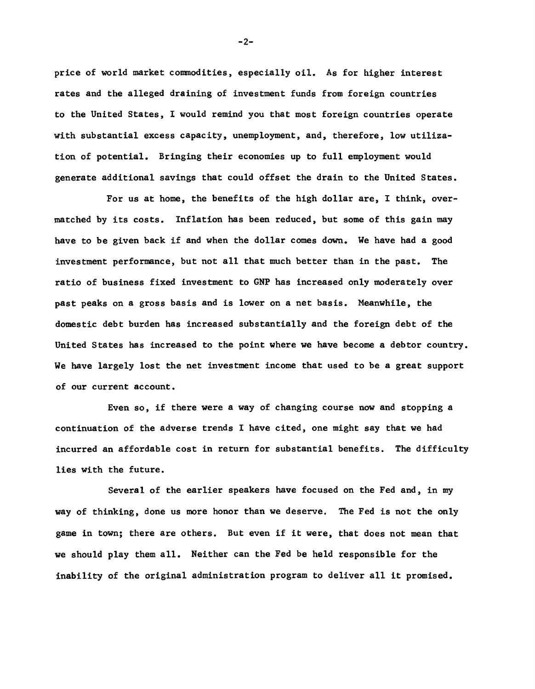**price of world market commodities, especially oil. As for higher interest rates and the alleged draining of investment funds from foreign countries to the United States, I would remind you that most foreign countries operate with substantial excess capacity, unemployment, and, therefore, low utilization of potential. Bringing their economies up to full employment would generate additional savings that could offset the drain to the United States.**

**For us at home, the benefits of the high dollar are, I think, overmatched by its costs. Inflation has been reduced, but some of this gain may have to be given back if and when the dollar comes down. We have had a good investment performance, but not all that much better than in the past. The ratio of business fixed investment to GNF has increased only moderately over past peaks on a gross basis and is lower on a net basis. Meanwhile, the domestic debt burden has increased substantially and the foreign debt of the United States has increased to the point where we have become a debtor country. We have largely lost the net investment income that used to be a great support of our current account.**

**Even so, if there were a way of changing course now and stopping a continuation of the adverse trends I have cited, one might say that we had incurred an affordable cost in return for substantial benefits. The difficulty lies with the future.**

**Several of the earlier speakers have focused on the Fed and, in my way of thinking, done us more honor than we deserve. The Fed is not the only game in town; there are others. But even if it were, that does not mean that we should play them all. Neither can the Fed be held responsible for the inability of the original administration program to deliver all it promised.**

 $-2-$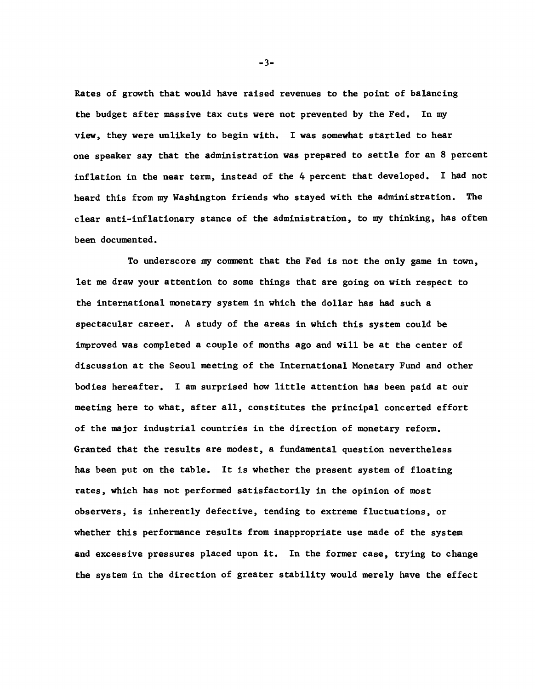**Rates of growth that would have raised revenues to the point of balancing the budget after massive tax cuts were not prevented by the Fed. In my view, they were unlikely to begin with. I was somewhat startled to hear one speaker say that the administration was prepared to settle for an 8 percent inflation in the near term, instead of the 4 percent that developed. I had not heard this from my Washington friends who stayed with the administration. The clear anti-inflationary stance of the administration, to my thinking, has often been documented.**

**To underscore my comment that the Fed is not the only game in town, let me draw your attention to some things that are going on with respect to the international monetary system in which the dollar has had such a spectacular career. A study of the areas in which this system could be inqproved was completed a couple of months ago and will be at the center of discussion at the Seoul meeting of the International Monetary Fund and other bodies hereafter. I am surprised how little attention has been paid at our meeting here to what, after all, constitutes the principal concerted effort of the major industrial countries in the direction of monetary reform. Granted that the results are modest, a fundamental question nevertheless has been put on the table. It is whether the present system of floating rates, which has not performed satisfactorily in the opinion of most observers, is inherently defective, tending to extreme fluctuations, or whether this performance results from inappropriate use made of the system and excessive pressures placed upon it. In the former case, trying to change the system in the direction of greater stability would merely have the effect**

-3-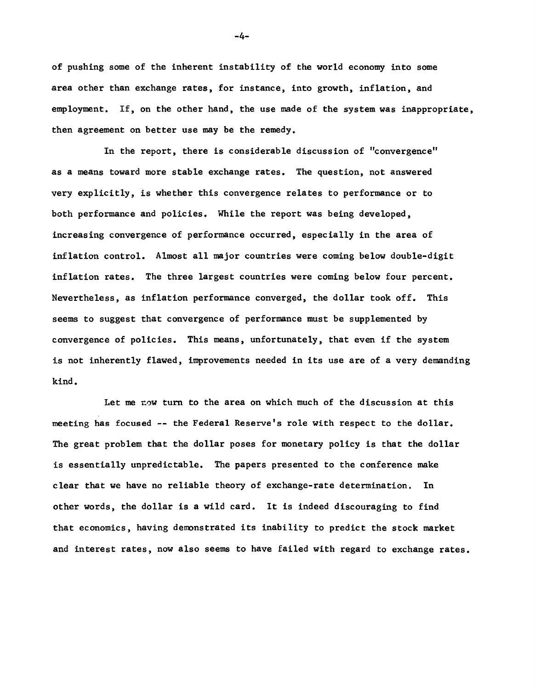**of pushing some of the inherent instability of the world economy into some area other than exchange rates, for instance, into growth, inflation, and employment. If, on the other hand, the use made of the system was inappropriate, then agreement on better use may be the remedy.**

**In the report, there is considerable discussion of "convergence" as a means toward more stable exchange rates. The question, not answered very explicitly, is whether this convergence relates to performance or to both performance and policies. While the report was being developed, increasing convergence of performance occurred, especially in the area of inflation control. Almost all major countries were coming below double-digit inflation rates. The three largest countries were coming below four percent. Nevertheless, as inflation performance converged, the dollar took off. This seems to suggest that convergence of performance must be supplemented by convergence of policies. This means, unfortunately, that even if the system is not inherently flawed, improvements needed in its use are of a very demanding kind.**

**Let me now turn to the area on which much of the discussion at this meeting has focused — the Federal Reserve's role with respect to the dollar. The great problem that the dollar poses for monetary policy is that the dollar is essentially unpredictable. The papers presented to the conference make clear that we have no reliable theory of exchange-rate determination. In other words, the dollar is a wild card. It is indeed discouraging to find that economics, having demonstrated its inability to predict the stock market and interest rates, now also seems to have failed with regard to exchange rates.**

**-4-**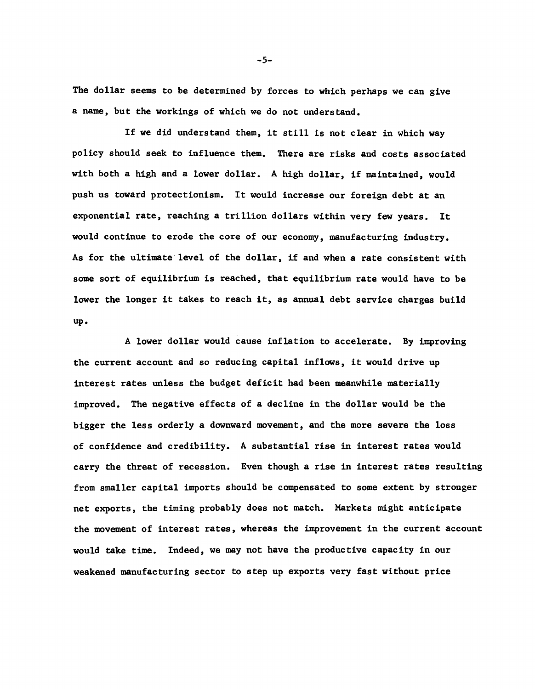**The dollar seems to be determined by forces to which perhaps we can give a name, but the workings of which we do not understand.**

**If we did understand them, it still is not clear in which way policy should seek to influence them. There are risks and costs associated with both a high and a lower dollar. A high dollar, if maintained, would push us toward protectionism. It would increase our foreign debt at an exponential rate, reaching a trillion dollars within very few years. It would continue to erode the core of our economy, manufacturing industry. As for the ultimate level of the dollar, if and when a rate consistent with some sort of equilibrium is reached, that equilibrium rate would have to be lower the longer it takes to reach it, as annual debt service charges build up.**

**A lower dollar would cause inflation to accelerate. By improving the current account and so reducing capital inflows, it would drive up interest rates unless the budget deficit had been meanwhile materially improved. The negative effects of a decline in the dollar would be the bigger the less orderly a downward movement, and the more severe the loss of confidence and credibility. A substantial rise in interest rates would carry the threat of recession. Even though a rise in interest rates resulting from smaller capital imports should be compensated to some extent by stronger net exports, the timing probably does not match. Markets might anticipate the movement of interest rates, whereas the improvement in the current account would take time. Indeed, we may not have the productive capacity in our weakened manufacturing sector to step up exports very fast without price**

5**-**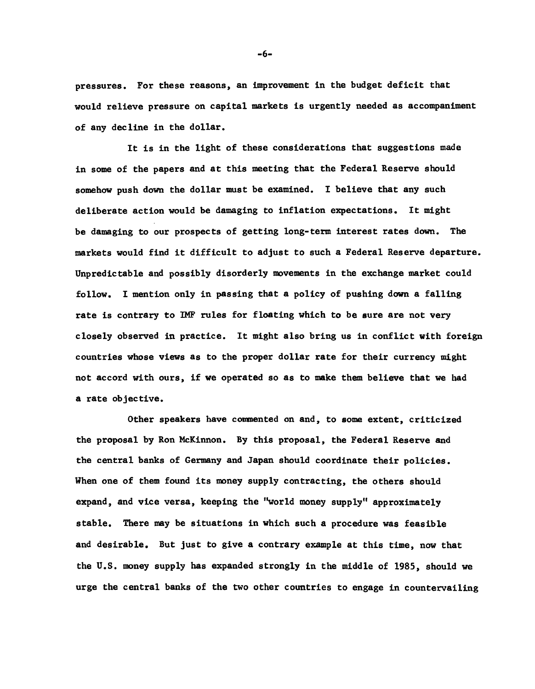**pressures. For these reasons, an improvement in the budget deficit that would relieve pressure on capital markets is urgently needed as accompaniment of any decline in the dollar.**

**It is in the light of these considerations that suggestions made in some of the papers and at this meeting that the Federal Reserve should somehow push down the dollar must be examined. I believe that any such deliberate action would be damaging to inflation expectations. It might be damaging to our prospects of getting long-term interest rates down. The markets would find it difficult to adjust to such a Federal Reserve departure. Unpredictable and possibly disorderly movements in the exchange market could follow. I mention only in passing that a policy of pushing down a falling rate is contrary to IMF rules for floating which to be sure are not very closely observed in practice. It might also bring us in conflict with foreign countries whose views as to the proper dollar rate for their currency might not accord with ours, if we operated so as to make them believe that we had a rate objective.**

**Other speakers have commented on and, to some extent, criticized the proposal by Ron McKinnon. By this proposal, the Federal Reserve and the central banks of Germany and Japan should coordinate their policies. When one of them found its money supply contracting, the others should expand, and vice versa, keeping the "world money supply" approximately stable. There may be situations in which such a procedure was feasible and desirable. But just to give a contrary example at this time, now that the U.S. money supply has expanded strongly in the middle of 1985, should we urge the central banks of the two other countries to engage in countervailing**

**- 6-**